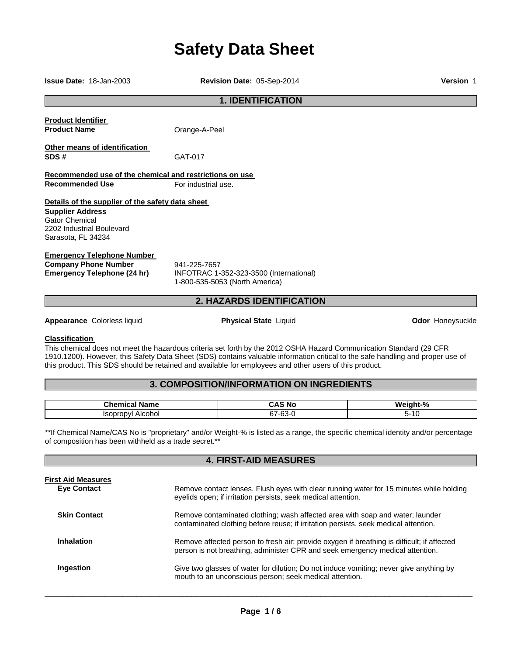# **Safety Data Sheet**

**Issue Date:** 18-Jan-2003 **Revision Date:** 05-Sep-2014 **Version** 1 **1. IDENTIFICATION Product Identifier Product Name Cance-A-Peel Other means of identification SDS #** GAT-017 **Recommended use of the chemical and restrictions on use Recommended Use For industrial use Details of the supplier of the safety data sheet Supplier Address** Gator Chemical 2202 Industrial Boulevard Sarasota, FL 34234 **Emergency Telephone Number Company Phone Number** 941-225-7657<br>**Emergency Telephone (24 hr)** INFOTRAC 1-**Emergency Telephone (24 hr)** INFOTRAC 1-352-323-3500 (International) 1-800-535-5053 (North America) **2. HAZARDS IDENTIFICATION Appearance Colorless liquid example 2 and 2 appearance Colorless liquid <b>Physical State** Liquid **Odor Honeysuckle** 

#### **Classification**

This chemical does not meet the hazardous criteria set forth by the 2012 OSHA Hazard Communication Standard (29 CFR 1910.1200). However, this Safety Data Sheet (SDS) contains valuable information critical to the safe handling and proper use of this product. This SDS should be retained and available for employees and other users of this product.

# **3. COMPOSITION/INFORMATION ON INGREDIENTS**

| . .            | . .                                     | -04                |
|----------------|-----------------------------------------|--------------------|
| <b>Chamiss</b> | .                                       | w.                 |
| Name           | ∴A'                                     | . . n <del>.</del> |
| нса            | .No                                     | 7۵.                |
| Alcohol<br>w   | $\sim$<br>$\sim$<br>57-6<br>ำระเ<br>⊤ບບ | . .<br>ı.          |

\*\*If Chemical Name/CAS No is "proprietary" and/or Weight-% is listed as a range, the specific chemical identity and/or percentage of composition has been withheld as a trade secret.\*\*

**4. FIRST-AID MEASURES** 

| First Aid Measures<br><b>Eve Contact</b> | Remove contact lenses. Flush eyes with clear running water for 15 minutes while holding                                                                                     |
|------------------------------------------|-----------------------------------------------------------------------------------------------------------------------------------------------------------------------------|
|                                          | eyelids open; if irritation persists, seek medical attention.                                                                                                               |
| <b>Skin Contact</b>                      | Remove contaminated clothing; wash affected area with soap and water; launder<br>contaminated clothing before reuse; if irritation persists, seek medical attention.        |
| <b>Inhalation</b>                        | Remove affected person to fresh air; provide oxygen if breathing is difficult; if affected<br>person is not breathing, administer CPR and seek emergency medical attention. |
| Ingestion                                | Give two glasses of water for dilution; Do not induce vomiting; never give anything by<br>mouth to an unconscious person; seek medical attention.                           |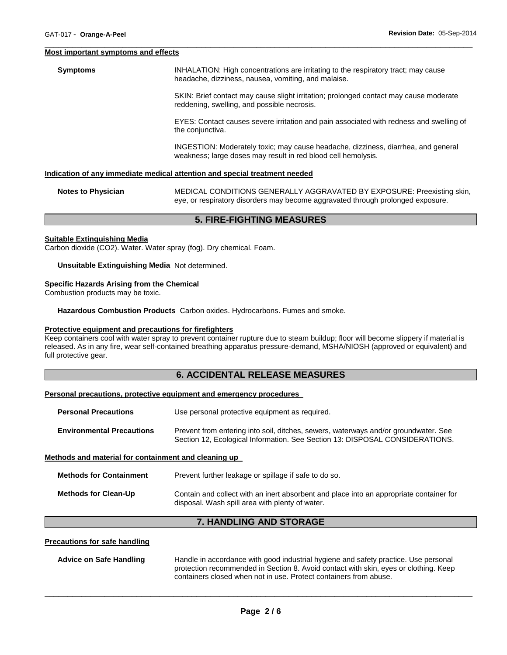#### **Most important symptoms and effects**

**Symptoms INHALATION: High concentrations are irritating to the respiratory tract; may cause** headache, dizziness, nausea, vomiting, and malaise. SKIN: Brief contact may cause slight irritation; prolonged contact may cause moderate reddening, swelling, and possible necrosis. EYES: Contact causes severe irritation and pain associated with redness and swelling of the conjunctiva. INGESTION: Moderately toxic; may cause headache, dizziness, diarrhea, and general weakness; large doses may result in red blood cell hemolysis.

\_\_\_\_\_\_\_\_\_\_\_\_\_\_\_\_\_\_\_\_\_\_\_\_\_\_\_\_\_\_\_\_\_\_\_\_\_\_\_\_\_\_\_\_\_\_\_\_\_\_\_\_\_\_\_\_\_\_\_\_\_\_\_\_\_\_\_\_\_\_\_\_\_\_\_\_\_\_\_\_\_\_\_\_\_\_\_\_\_\_\_\_\_

#### **Indication of any immediate medical attention and special treatment needed**

| <b>Notes to Physician</b> | MEDICAL CONDITIONS GENERALLY AGGRAVATED BY EXPOSURE: Preexisting skin,          |
|---------------------------|---------------------------------------------------------------------------------|
|                           | eye, or respiratory disorders may become aggravated through prolonged exposure. |

## **5. FIRE-FIGHTING MEASURES**

#### **Suitable Extinguishing Media**

Carbon dioxide (CO2). Water. Water spray (fog). Dry chemical. Foam.

#### **Unsuitable Extinguishing Media** Not determined.

#### **Specific Hazards Arising from the Chemical**

Combustion products may be toxic.

**Hazardous Combustion Products** Carbon oxides. Hydrocarbons. Fumes and smoke.

#### **Protective equipment and precautions for firefighters**

Keep containers cool with water spray to prevent container rupture due to steam buildup; floor will become slippery if material is released. As in any fire, wear self-contained breathing apparatus pressure-demand, MSHA/NIOSH (approved or equivalent) and full protective gear.

## **6. ACCIDENTAL RELEASE MEASURES**

#### **Personal precautions, protective equipment and emergency procedures**

| <b>Personal Precautions</b>                          | Use personal protective equipment as required.                                                                                                                      |  |
|------------------------------------------------------|---------------------------------------------------------------------------------------------------------------------------------------------------------------------|--|
| <b>Environmental Precautions</b>                     | Prevent from entering into soil, ditches, sewers, waterways and/or groundwater. See<br>Section 12, Ecological Information. See Section 13: DISPOSAL CONSIDERATIONS. |  |
| Methods and material for containment and cleaning up |                                                                                                                                                                     |  |

| <b>Methods for Containment</b> | Prevent further leakage or spillage if safe to do so.                                                                                      |
|--------------------------------|--------------------------------------------------------------------------------------------------------------------------------------------|
| Methods for Clean-Up           | Contain and collect with an inert absorbent and place into an appropriate container for<br>disposal. Wash spill area with plenty of water. |

# **7. HANDLING AND STORAGE**

#### **Precautions for safe handling**

| Advice on Safe Handling | Handle in accordance with good industrial hygiene and safety practice. Use personal  |
|-------------------------|--------------------------------------------------------------------------------------|
|                         | protection recommended in Section 8. Avoid contact with skin, eyes or clothing. Keep |
|                         | containers closed when not in use. Protect containers from abuse.                    |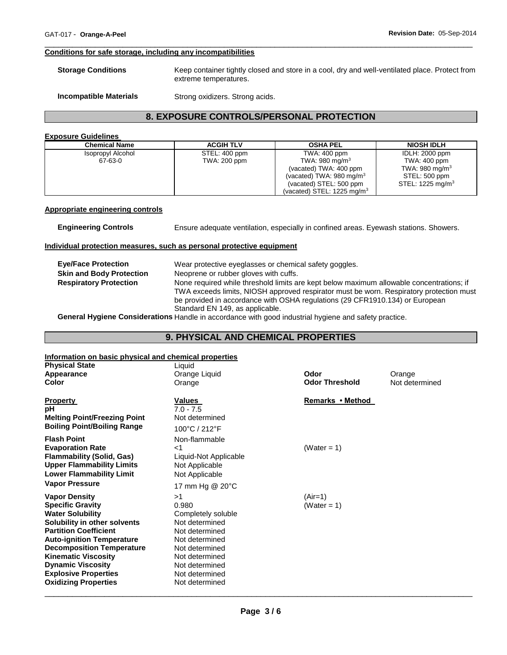#### **Conditions for safe storage, including any incompatibilities**

| <b>Storage Conditions</b> | Keep container tightly closed and store in a cool, dry and well-ventilated place. Protect from |
|---------------------------|------------------------------------------------------------------------------------------------|
|                           | extreme temperatures.                                                                          |

\_\_\_\_\_\_\_\_\_\_\_\_\_\_\_\_\_\_\_\_\_\_\_\_\_\_\_\_\_\_\_\_\_\_\_\_\_\_\_\_\_\_\_\_\_\_\_\_\_\_\_\_\_\_\_\_\_\_\_\_\_\_\_\_\_\_\_\_\_\_\_\_\_\_\_\_\_\_\_\_\_\_\_\_\_\_\_\_\_\_\_\_\_

**Incompatible Materials Strong oxidizers. Strong acids.** 

# **8. EXPOSURE CONTROLS/PERSONAL PROTECTION**

## **Exposure Guidelines**

| <b>Chemical Name</b> | <b>ACGIH TLV</b> | <b>OSHA PEL</b>                       | <b>NIOSH IDLH</b>          |
|----------------------|------------------|---------------------------------------|----------------------------|
| Isopropyl Alcohol    | STEL: 400 ppm    | TWA: 400 ppm                          | <b>IDLH: 2000 ppm</b>      |
| 67-63-0              | TWA: 200 ppm     | TWA: 980 mg/m $3$                     | TWA: 400 ppm               |
|                      |                  | (vacated) TWA: 400 ppm                | TWA: 980 mg/m <sup>3</sup> |
|                      |                  | (vacated) TWA: $980 \text{ mg/m}^3$   | STEL: 500 ppm              |
|                      |                  | (vacated) STEL: 500 ppm               | STEL: 1225 mg/m $3$        |
|                      |                  | (vacated) STEL: $1225 \text{ mg/m}^3$ |                            |

#### **Appropriate engineering controls**

**Engineering Controls** Ensure adequate ventilation, especially in confined areas. Eyewash stations. Showers.

#### **Individual protection measures, such as personal protective equipment**

|                                 | Wear protective eyeglasses or chemical safety goggles.                                   |
|---------------------------------|------------------------------------------------------------------------------------------|
| <b>Eve/Face Protection</b>      |                                                                                          |
| <b>Skin and Body Protection</b> | Neoprene or rubber gloves with cuffs.                                                    |
| <b>Respiratory Protection</b>   | None required while threshold limits are kept below maximum allowable concentrations; if |
|                                 | TWA exceeds limits, NIOSH approved respirator must be worn. Respiratory protection must  |
|                                 | be provided in accordance with OSHA regulations (29 CFR1910.134) or European             |
|                                 | Standard EN 149, as applicable.                                                          |
|                                 |                                                                                          |

**General Hygiene Considerations** Handle in accordance with good industrial hygiene and safety practice.

# **9. PHYSICAL AND CHEMICAL PROPERTIES**

# **Information on basic physical and chemical properties**

| <u>INTO Mation on basic privided and chemical properties</u> |                                                                                                                         |                |
|--------------------------------------------------------------|-------------------------------------------------------------------------------------------------------------------------|----------------|
| Liquid                                                       |                                                                                                                         |                |
| Orange Liquid                                                | Odor                                                                                                                    | Orange         |
| Orange                                                       | <b>Odor Threshold</b>                                                                                                   | Not determined |
|                                                              |                                                                                                                         |                |
| Values                                                       | Remarks • Method                                                                                                        |                |
|                                                              |                                                                                                                         |                |
| Not determined                                               |                                                                                                                         |                |
| 100°C / 212°F                                                |                                                                                                                         |                |
| Non-flammable                                                |                                                                                                                         |                |
| $<$ 1                                                        | (Water = 1)                                                                                                             |                |
| Liquid-Not Applicable                                        |                                                                                                                         |                |
|                                                              |                                                                                                                         |                |
|                                                              |                                                                                                                         |                |
| 17 mm Hg @ 20°C                                              |                                                                                                                         |                |
| >1                                                           | $(Air=1)$                                                                                                               |                |
| 0.980                                                        | (Water = 1)                                                                                                             |                |
| Completely soluble                                           |                                                                                                                         |                |
| Not determined                                               |                                                                                                                         |                |
| Not determined                                               |                                                                                                                         |                |
| Not determined                                               |                                                                                                                         |                |
|                                                              |                                                                                                                         |                |
|                                                              |                                                                                                                         |                |
| Not determined                                               |                                                                                                                         |                |
|                                                              |                                                                                                                         |                |
|                                                              |                                                                                                                         |                |
|                                                              | $7.0 - 7.5$<br>Not Applicable<br>Not Applicable<br>Not determined<br>Not determined<br>Not determined<br>Not determined |                |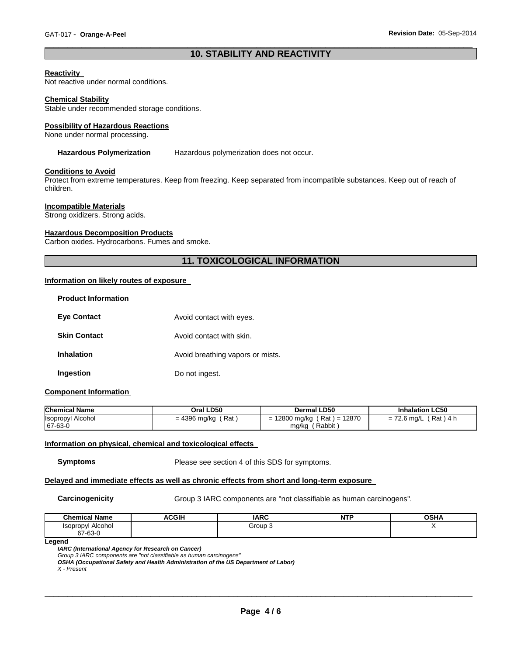# \_\_\_\_\_\_\_\_\_\_\_\_\_\_\_\_\_\_\_\_\_\_\_\_\_\_\_\_\_\_\_\_\_\_\_\_\_\_\_\_\_\_\_\_\_\_\_\_\_\_\_\_\_\_\_\_\_\_\_\_\_\_\_\_\_\_\_\_\_\_\_\_\_\_\_\_\_\_\_\_\_\_\_\_\_\_\_\_\_\_\_\_\_ **10. STABILITY AND REACTIVITY**

#### **Reactivity**

Not reactive under normal conditions.

#### **Chemical Stability**

Stable under recommended storage conditions.

#### **Possibility of Hazardous Reactions**

None under normal processing.

#### **Hazardous Polymerization** Hazardous polymerization does not occur.

#### **Conditions to Avoid**

Protect from extreme temperatures. Keep from freezing. Keep separated from incompatible substances. Keep out of reach of children.

## **Incompatible Materials**

Strong oxidizers. Strong acids.

#### **Hazardous Decomposition Products**

Carbon oxides. Hydrocarbons. Fumes and smoke.

# **11. TOXICOLOGICAL INFORMATION**

#### **Information on likely routes of exposure**

| <b>Product Information</b> |                                  |
|----------------------------|----------------------------------|
| <b>Eve Contact</b>         | Avoid contact with eyes.         |
| <b>Skin Contact</b>        | Avoid contact with skin.         |
| <b>Inhalation</b>          | Avoid breathing vapors or mists. |
| Ingestion                  | Do not ingest.                   |

#### **Component Information**

| <b>Chemical Name</b>     | Oral LD50            | Dermal LD50                   | <b>Inhalation LC50</b>  |
|--------------------------|----------------------|-------------------------------|-------------------------|
| <b>Isopropyl Alcohol</b> | $= 4396$ mg/kg (Rat) | $= 12800$ mg/kg (Rat) = 12870 | $= 72.6$ mg/L (Rat) 4 h |
| 67-63-0                  |                      | mg/kg (Rabbit)                |                         |

#### **Information on physical, chemical and toxicological effects**

**Symptoms** Please see section 4 of this SDS for symptoms.

#### **Delayed and immediate effects as well as chronic effects from short and long-term exposure**

**Carcinogenicity Group 3 IARC components are "not classifiable as human carcinogens".** 

| <b>Chemical Name</b> | <b>ACGIH</b> | <b>IARC</b> | .<br>N<br>. | <b>OSHA</b> |
|----------------------|--------------|-------------|-------------|-------------|
| Alcohol<br>Isopropvl |              | Group 3     |             |             |
| 67-63-0              |              |             |             |             |

**Legend** 

*IARC (International Agency for Research on Cancer)*

*Group 3 IARC components are "not classifiable as human carcinogens"* 

*OSHA (Occupational Safety and Health Administration of the US Department of Labor)*

*X - Present*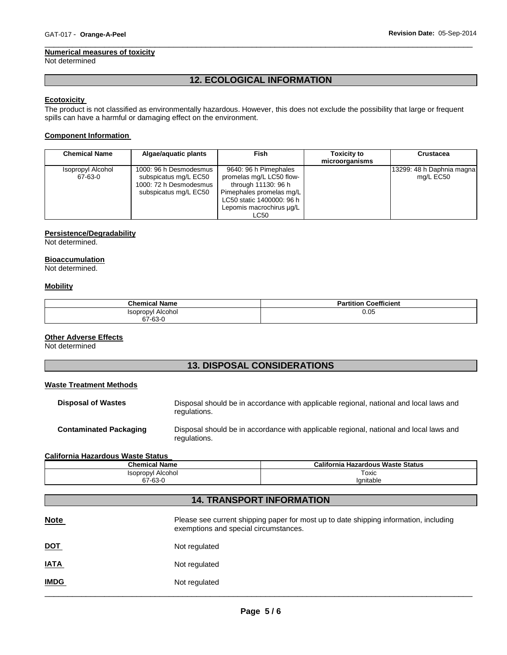#### **Numerical measures of toxicity**

Not determined

# **12. ECOLOGICAL INFORMATION**

\_\_\_\_\_\_\_\_\_\_\_\_\_\_\_\_\_\_\_\_\_\_\_\_\_\_\_\_\_\_\_\_\_\_\_\_\_\_\_\_\_\_\_\_\_\_\_\_\_\_\_\_\_\_\_\_\_\_\_\_\_\_\_\_\_\_\_\_\_\_\_\_\_\_\_\_\_\_\_\_\_\_\_\_\_\_\_\_\_\_\_\_\_

# **Ecotoxicity**

The product is not classified as environmentally hazardous. However, this does not exclude the possibility that large or frequent spills can have a harmful or damaging effect on the environment.

## **Component Information**

| <b>Chemical Name</b>         | Algae/aguatic plants                                                                               | Fish                                                                                                                                                                  | <b>Toxicity to</b><br>microorganisms | Crustacea                              |
|------------------------------|----------------------------------------------------------------------------------------------------|-----------------------------------------------------------------------------------------------------------------------------------------------------------------------|--------------------------------------|----------------------------------------|
| Isopropyl Alcohol<br>67-63-0 | 1000: 96 h Desmodesmus<br>subspicatus mg/L EC50<br>1000: 72 h Desmodesmus<br>subspicatus mg/L EC50 | 9640: 96 h Pimephales<br>promelas mg/L LC50 flow-<br>through 11130: 96 h<br>Pimephales promelas mg/L<br>LC50 static 1400000: 96 h<br>Lepomis macrochirus ug/L<br>LC50 |                                      | 13299: 48 h Daphnia magna<br>mg/L EC50 |

## **Persistence/Degradability**

Not determined.

#### **Bioaccumulation**

Not determined.

## **Mobility**

| <b>Chemical Name</b>     | <b>Partition Coefficient</b> |
|--------------------------|------------------------------|
| <b>Isopropyl Alcohol</b> | 0.05                         |
| 67-63-0                  |                              |

## **Other Adverse Effects**

Not determined

# **13. DISPOSAL CONSIDERATIONS**

#### **Waste Treatment Methods**

| <b>Disposal of Wastes</b>     | Disposal should be in accordance with applicable regional, national and local laws and<br>regulations. |
|-------------------------------|--------------------------------------------------------------------------------------------------------|
| <b>Contaminated Packaging</b> | Disposal should be in accordance with applicable regional, national and local laws and<br>regulations. |

#### **California Hazardous Waste Status**

| <b>Chemical Name</b> | California Hazardous Waste Status |
|----------------------|-----------------------------------|
| 'sopropyl Alcohol    | $\overline{\phantom{0}}$<br>Гохіс |
| 67-63-0<br>$\sim$    | Ignitable                         |

# **14. TRANSPORT INFORMATION**

| <b>Note</b> | Please see current shipping paper for most up to date shipping information, including<br>exemptions and special circumstances. |
|-------------|--------------------------------------------------------------------------------------------------------------------------------|
| <u>DOT</u>  | Not regulated                                                                                                                  |
| <b>IATA</b> | Not regulated                                                                                                                  |
| <b>IMDG</b> | Not regulated                                                                                                                  |